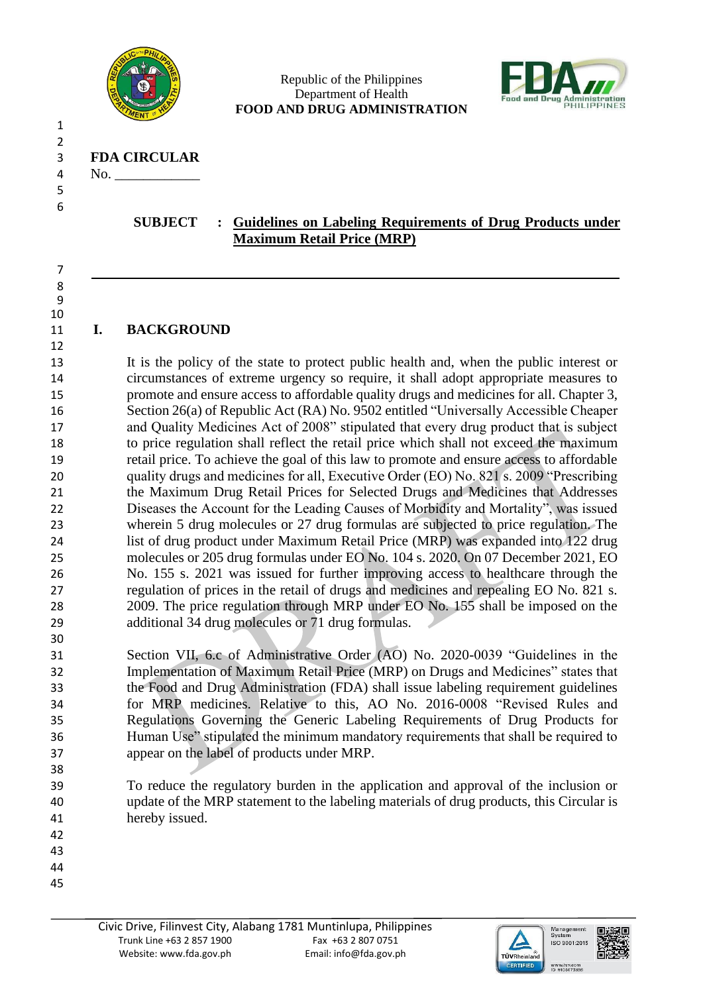

#### Republic of the Philippines Department of Health **FOOD AND DRUG ADMINISTRATION**



3 **FDA CIRCULAR**

4 No.

 2

 

# **SUBJECT : Guidelines on Labeling Requirements of Drug Products under Maximum Retail Price (MRP)**

**I. BACKGROUND**

 It is the policy of the state to protect public health and, when the public interest or circumstances of extreme urgency so require, it shall adopt appropriate measures to promote and ensure access to affordable quality drugs and medicines for all. Chapter 3, Section 26(a) of Republic Act (RA) No. 9502 entitled "Universally Accessible Cheaper and Quality Medicines Act of 2008" stipulated that every drug product that is subject to price regulation shall reflect the retail price which shall not exceed the maximum retail price. To achieve the goal of this law to promote and ensure access to affordable quality drugs and medicines for all, Executive Order (EO) No. 821 s. 2009 "Prescribing the Maximum Drug Retail Prices for Selected Drugs and Medicines that Addresses Diseases the Account for the Leading Causes of Morbidity and Mortality", was issued wherein 5 drug molecules or 27 drug formulas are subjected to price regulation. The list of drug product under Maximum Retail Price (MRP) was expanded into 122 drug molecules or 205 drug formulas under EO No. 104 s. 2020. On 07 December 2021, EO No. 155 s. 2021 was issued for further improving access to healthcare through the regulation of prices in the retail of drugs and medicines and repealing EO No. 821 s. 2009. The price regulation through MRP under EO No. 155 shall be imposed on the additional 34 drug molecules or 71 drug formulas.

- Section VII, 6.c of Administrative Order (AO) No. 2020-0039 "Guidelines in the Implementation of Maximum Retail Price (MRP) on Drugs and Medicines" states that the Food and Drug Administration (FDA) shall issue labeling requirement guidelines for MRP medicines. Relative to this, AO No. 2016-0008 "Revised Rules and Regulations Governing the Generic Labeling Requirements of Drug Products for Human Use" stipulated the minimum mandatory requirements that shall be required to appear on the label of products under MRP.
- To reduce the regulatory burden in the application and approval of the inclusion or update of the MRP statement to the labeling materials of drug products, this Circular is hereby issued.
- 

- 
- 



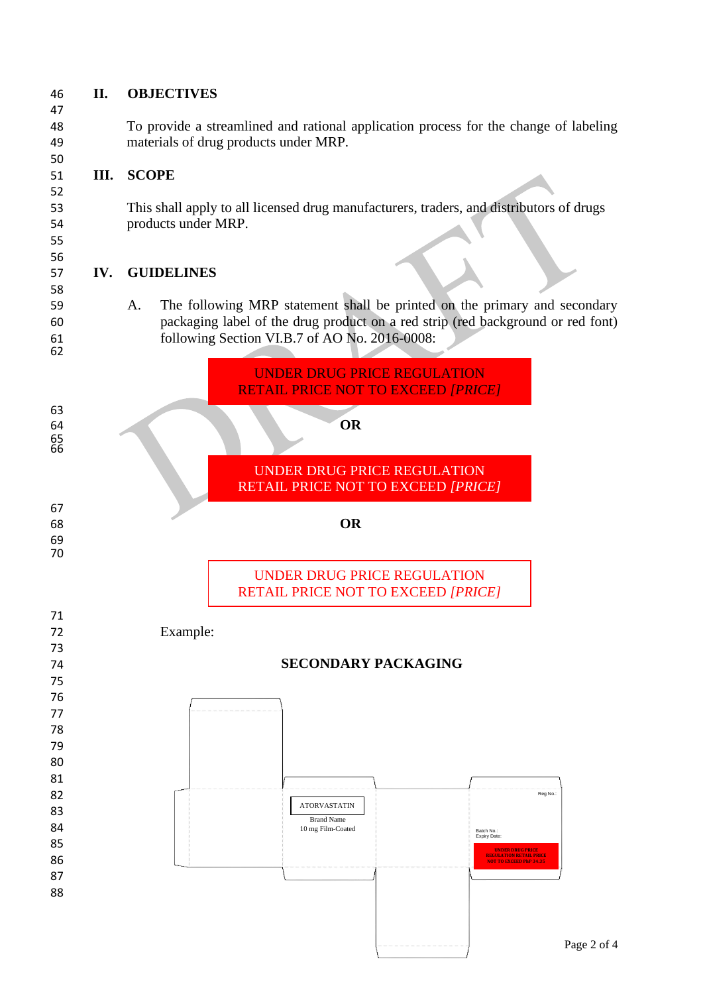

 

### **II. OBJECTIVES**

 To provide a streamlined and rational application process for the change of labeling materials of drug products under MRP.

# **III. SCOPE**

 This shall apply to all licensed drug manufacturers, traders, and distributors of drugs products under MRP.

## **IV. GUIDELINES**

 A. The following MRP statement shall be printed on the primary and secondary packaging label of the drug product on a red strip (red background or red font) following Section VI.B.7 of AO No. 2016-0008:

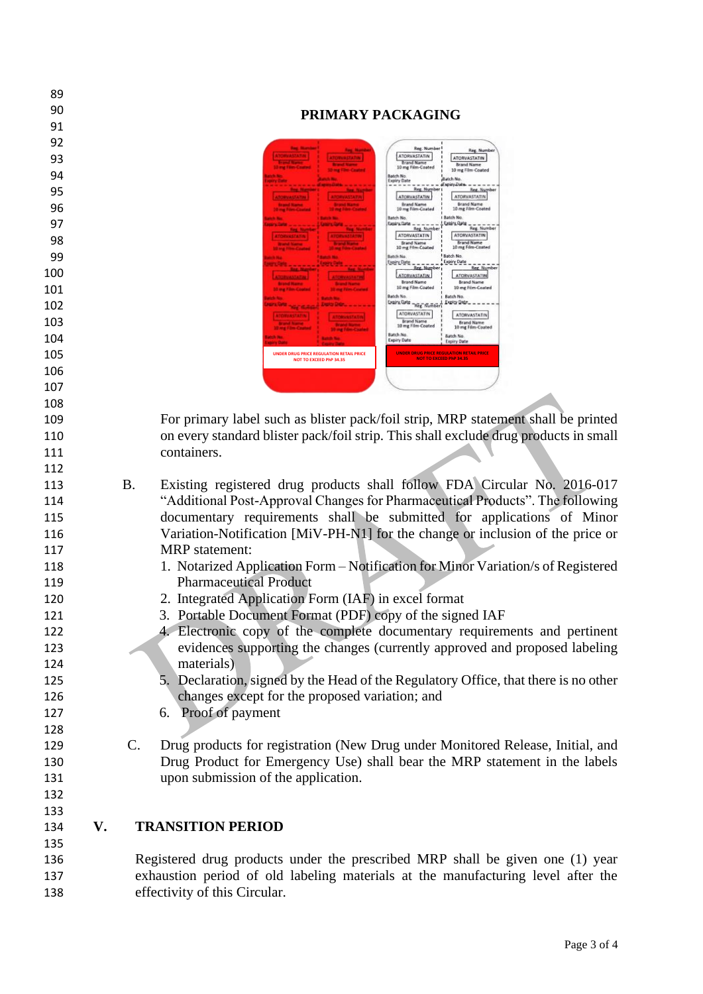| 89         |    |           |                                                                                                                                                                 |
|------------|----|-----------|-----------------------------------------------------------------------------------------------------------------------------------------------------------------|
| 90         |    |           | PRIMARY PACKAGING                                                                                                                                               |
| 91         |    |           |                                                                                                                                                                 |
| 92         |    |           | Reg. Numb<br>Reg. Numb                                                                                                                                          |
| 93         |    |           | ATORVASTATIN<br>ATORVASTATIN<br><b>Brand Name</b><br><b>Brand Name</b><br>10 mg Film-Coated                                                                     |
| 94         |    |           | 10 mg Film-Coated<br>Batch No.<br><b>Batch No</b><br><b>Expiry Date</b><br>dEagust ab                                                                           |
| 95         |    |           | Reg. Number<br>Reg. Number<br><b>ATORVASTATIN</b><br>ATORVASTATIN<br><b>ATORVASTATIN</b>                                                                        |
| 96         |    |           | <b>Brand Name</b><br><b>Brand Name</b><br>10 mg Film-Coated<br>10 mg Film-Coated<br>Batch No<br><b>Batch No</b>                                                 |
| 97         |    |           | Expiry_Date _<br>Reg. Number<br><b>Reg. Number</b><br><b>ATORVASTATIN</b><br><b>ATORVASTATIN</b>                                                                |
| 98         |    |           | Brand Name<br><b>Brand Name</b><br>10 mg Film-Coated<br>10 mg Film-Coated                                                                                       |
| 99         |    |           | Batch No.<br>Batch No.<br><b>Upiry Pate</b> ,<br><b>Expiry Date</b><br>Reg. Number<br><b>Reg. Number</b>                                                        |
| 100        |    |           | ATORVASTATIN<br>ATORVASTATIN<br><b>ATORYALIATIN</b><br><b>Brand Name</b><br><b>Brand Name</b>                                                                   |
| 101        |    |           | 10 mg Film-Coated<br>10 mg Film-Coated<br>Batch No.<br><b>Batch No.</b>                                                                                         |
| 102        |    |           | <b>Light Oats They Numbe</b><br><b>ATORVASTATIN</b><br><b>ATORVASTATIN</b>                                                                                      |
| 103        |    |           | <b>Brand Name</b><br><b>Brand Name</b><br>10 mg Film-Coated<br>10 mg Film-Coated<br>Batch No                                                                    |
| 104        |    |           | <b>Batch No</b><br><b>Expiry Date</b><br>Expiry Date                                                                                                            |
| 105        |    |           | <b>UNDER DRUG PRICE REGULATION RETAIL PRICE</b><br><b>UNDER DRUG PRICE REGULATION RETAIL PRICE</b><br>NOT TO EXCEED PhP 34.35<br><b>NOT TO EXCEED PhP 34.35</b> |
| 106        |    |           |                                                                                                                                                                 |
| 107        |    |           |                                                                                                                                                                 |
| 108        |    |           |                                                                                                                                                                 |
| 109        |    |           | For primary label such as blister pack/foil strip, MRP statement shall be printed                                                                               |
| 110        |    |           | on every standard blister pack/foil strip. This shall exclude drug products in small                                                                            |
| 111        |    |           | containers.                                                                                                                                                     |
| 112<br>113 |    | <b>B.</b> | Existing registered drug products shall follow FDA Circular No. 2016-017                                                                                        |
| 114        |    |           | "Additional Post-Approval Changes for Pharmaceutical Products". The following                                                                                   |
| 115        |    |           | documentary requirements shall be submitted for applications of Minor                                                                                           |
| 116        |    |           | Variation-Notification [MiV-PH-N1] for the change or inclusion of the price or                                                                                  |
| 117        |    |           | <b>MRP</b> statement:                                                                                                                                           |
| 118        |    |           | 1. Notarized Application Form - Notification for Minor Variation/s of Registered                                                                                |
| 119        |    |           | <b>Pharmaceutical Product</b>                                                                                                                                   |
| 120        |    |           | 2. Integrated Application Form (IAF) in excel format                                                                                                            |
| 121        |    |           | 3. Portable Document Format (PDF) copy of the signed IAF                                                                                                        |
| 122        |    |           | 4. Electronic copy of the complete documentary requirements and pertinent                                                                                       |
| 123        |    |           | evidences supporting the changes (currently approved and proposed labeling                                                                                      |
| 124        |    |           | materials)                                                                                                                                                      |
| 125        |    |           | 5. Declaration, signed by the Head of the Regulatory Office, that there is no other                                                                             |
| 126        |    |           | changes except for the proposed variation; and                                                                                                                  |
| 127        |    |           | 6. Proof of payment                                                                                                                                             |
| 128        |    |           |                                                                                                                                                                 |
| 129        |    | $C$ .     | Drug products for registration (New Drug under Monitored Release, Initial, and                                                                                  |
| 130        |    |           | Drug Product for Emergency Use) shall bear the MRP statement in the labels                                                                                      |
| 131        |    |           | upon submission of the application.                                                                                                                             |
| 132        |    |           |                                                                                                                                                                 |
| 133        |    |           |                                                                                                                                                                 |
| 134        | V. |           | <b>TRANSITION PERIOD</b>                                                                                                                                        |
| 135        |    |           |                                                                                                                                                                 |
| 136        |    |           | Registered drug products under the prescribed MRP shall be given one (1) year                                                                                   |

 exhaustion period of old labeling materials at the manufacturing level after the effectivity of this Circular.